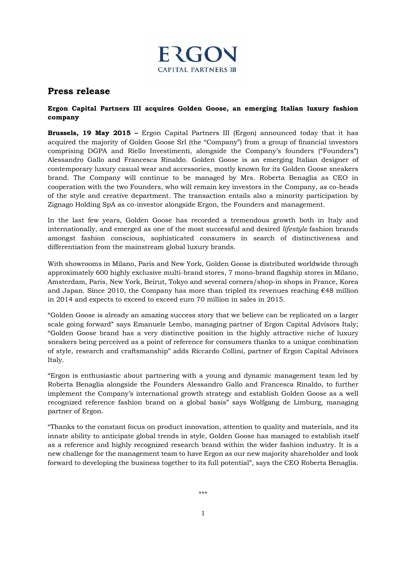

## **Press release**

## **Ergon Capital Partners III acquires Golden Goose, an emerging Italian luxury fashion company**

**Brussels, 19 May 2015 –** Ergon Capital Partners III (Ergon) announced today that it has acquired the majority of Golden Goose Srl (the "Company") from a group of financial investors comprising DGPA and Riello Investimenti, alongside the Company's founders ("Founders") Alessandro Gallo and Francesca Rinaldo. Golden Goose is an emerging Italian designer of contemporary luxury casual wear and accessories, mostly known for its Golden Goose sneakers brand. The Company will continue to be managed by Mrs. Roberta Benaglia as CEO in cooperation with the two Founders, who will remain key investors in the Company, as co-heads of the style and creative department. The transaction entails also a minority participation by Zignago Holding SpA as co-investor alongside Ergon, the Founders and management.

In the last few years, Golden Goose has recorded a tremendous growth both in Italy and internationally, and emerged as one of the most successful and desired *lifestyle* fashion brands amongst fashion conscious, sophisticated consumers in search of distinctiveness and differentiation from the mainstream global luxury brands.

With showrooms in Milano, Paris and New York, Golden Goose is distributed worldwide through approximately 600 highly exclusive multi-brand stores, 7 mono-brand flagship stores in Milano, Amsterdam, Paris, New York, Beirut, Tokyo and several corners/shop-in shops in France, Korea and Japan. Since 2010, the Company has more than tripled its revenues reaching  $\epsilon$ 48 million in 2014 and expects to exceed to exceed euro 70 million in sales in 2015.

"Golden Goose is already an amazing success story that we believe can be replicated on a larger scale going forward" says Emanuele Lembo, managing partner of Ergon Capital Advisors Italy; "Golden Goose brand has a very distinctive position in the highly attractive niche of luxury sneakers being perceived as a point of reference for consumers thanks to a unique combination of style, research and craftsmanship" adds Riccardo Collini, partner of Ergon Capital Advisors Italy.

"Ergon is enthusiastic about partnering with a young and dynamic management team led by Roberta Benaglia alongside the Founders Alessandro Gallo and Francesca Rinaldo, to further implement the Company's international growth strategy and establish Golden Goose as a well recognized reference fashion brand on a global basis" says Wolfgang de Limburg, managing partner of Ergon.

"Thanks to the constant focus on product innovation, attention to quality and materials, and its innate ability to anticipate global trends in style, Golden Goose has managed to establish itself as a reference and highly recognized research brand within the wider fashion industry. It is a new challenge for the management team to have Ergon as our new majority shareholder and look forward to developing the business together to its full potential", says the CEO Roberta Benaglia.